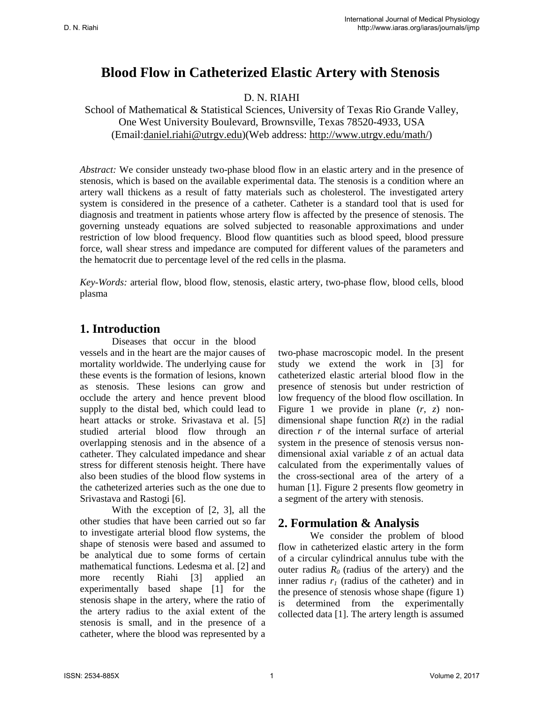# **Blood Flow in Catheterized Elastic Artery with Stenosis**

#### D. N. RIAHI

School of Mathematical & Statistical Sciences, University of Texas Rio Grande Valley, One West University Boulevard, Brownsville, Texas 78520-4933, USA (Email[:daniel.riahi@utrgv.edu\)](mailto:daniel.riahi@utrgv.edu)(Web address: [http://www.utrgv.edu/math/\)](http://www.utrgv.edu/math/)

*Abstract:* We consider unsteady two-phase blood flow in an elastic artery and in the presence of stenosis, which is based on the available experimental data. The stenosis is a condition where an artery wall thickens as a result of fatty materials such as cholesterol. The investigated artery system is considered in the presence of a catheter. Catheter is a standard tool that is used for diagnosis and treatment in patients whose artery flow is affected by the presence of stenosis. The governing unsteady equations are solved subjected to reasonable approximations and under restriction of low blood frequency. Blood flow quantities such as blood speed, blood pressure force, wall shear stress and impedance are computed for different values of the parameters and the hematocrit due to percentage level of the red cells in the plasma.

*Key-Words:* arterial flow, blood flow, stenosis, elastic artery, two-phase flow, blood cells, blood plasma

# **1. Introduction**

 Diseases that occur in the blood vessels and in the heart are the major causes of mortality worldwide. The underlying cause for these events is the formation of lesions, known as stenosis. These lesions can grow and occlude the artery and hence prevent blood supply to the distal bed, which could lead to heart attacks or stroke. Srivastava et al. [5] studied arterial blood flow through an overlapping stenosis and in the absence of a catheter. They calculated impedance and shear stress for different stenosis height. There have also been studies of the blood flow systems in the catheterized arteries such as the one due to Srivastava and Rastogi [6].

With the exception of [2, 3], all the other studies that have been carried out so far to investigate arterial blood flow systems, the shape of stenosis were based and assumed to be analytical due to some forms of certain mathematical functions. Ledesma et al. [2] and more recently Riahi [3] applied an experimentally based shape [1] for the stenosis shape in the artery, where the ratio of the artery radius to the axial extent of the stenosis is small, and in the presence of a catheter, where the blood was represented by a

two-phase macroscopic model. In the present study we extend the work in [3] for catheterized elastic arterial blood flow in the presence of stenosis but under restriction of low frequency of the blood flow oscillation. In Figure 1 we provide in plane (*r*, *z*) nondimensional shape function  $R(z)$  in the radial direction *r* of the internal surface of arterial system in the presence of stenosis versus nondimensional axial variable *z* of an actual data calculated from the experimentally values of the cross-sectional area of the artery of a human [1]. Figure 2 presents flow geometry in a segment of the artery with stenosis.

### **2. Formulation & Analysis**

We consider the problem of blood flow in catheterized elastic artery in the form of a circular cylindrical annulus tube with the outer radius  $R_0$  (radius of the artery) and the inner radius  $r_1$  (radius of the catheter) and in the presence of stenosis whose shape (figure 1) is determined from the experimentally collected data [1]. The artery length is assumed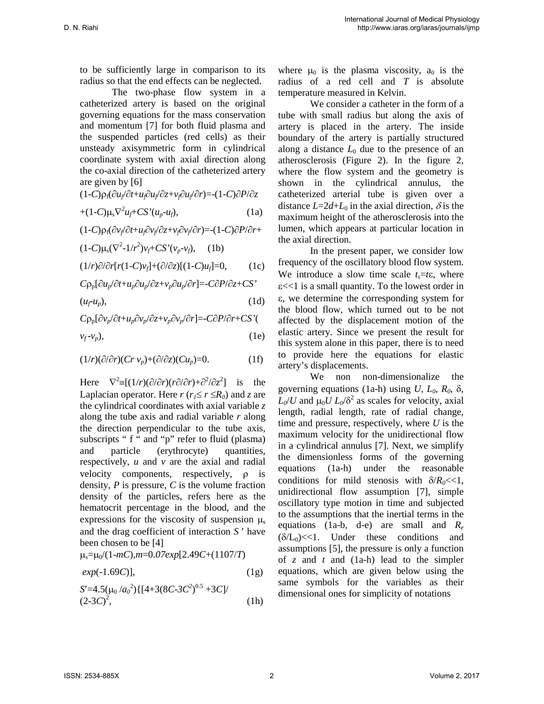to be sufficiently large in comparison to its radius so that the end effects can be neglected.

The two-phase flow system in a catheterized artery is based on the original governing equations for the mass conservation and momentum [7] for both fluid plasma and the suspended particles (red cells) as their unsteady axisymmetric form in cylindrical coordinate system with axial direction along the co-axial direction of the catheterized artery are given by [6]

$$
(1-C)\rho_f(\partial u_f/\partial t + u_f\partial u_f/\partial z + v_f\partial u_f/\partial r) = (1-C)\partial P/\partial z
$$

$$
+(1-C)\mu_s\nabla^2 u_f + CS'(u_p - u_f),\tag{1a}
$$

$$
(1\hbox{-} C)\rho_f(\partial v_f\partial t\hbox{-} u_f\partial v_f\partial z\hbox{-} v_f\partial v_f\partial r)\hbox{=}{-}(1\hbox{-} C)\partial P/\partial r\hbox{-}
$$

$$
(1-C)\mu_{s}(\nabla^{2}-1/r^{2})\nu_{f}+CS'(\nu_{p}-\nu_{f}), \quad (1b)
$$

 $(1/r)\partial/\partial r[r(1-C)v_f]+(\partial/\partial z)[(1-C)u_f]=0,$  (1c)

$$
C\rho_p[\partial u_p/\partial t + u_p\partial u_p/\partial z + v_p\partial u_p/\partial r] = -C\partial P/\partial z + CS'
$$

 $(u_f - u_p)$ , (1d)

$$
C\rho_p[\partial v_p/\partial t + u_p \partial v_p/\partial z + v_p \partial v_p/\partial r] = -C\partial P/\partial r + CS'
$$

$$
v_f - v_p), \tag{1e}
$$

$$
(1/r)(\partial/\partial r)(Cr\,v_p)+(\partial/\partial z)(Cu_p)=0.
$$
 (1f)

Here  $\nabla^2 \equiv [(1/r)(\partial/\partial r)(r\partial/\partial r) + \partial^2/\partial z^2]$  is the Laplacian operator. Here  $r (r_1 \le r \le R_0)$  and *z* are the cylindrical coordinates with axial variable *z* along the tube axis and radial variable *r* along the direction perpendicular to the tube axis, subscripts " f " and "p" refer to fluid (plasma) and particle (erythrocyte) quantities, respectively, *u* and *v* are the axial and radial velocity components, respectively, ρ is density, *P* is pressure, *C* is the volume fraction density of the particles, refers here as the hematocrit percentage in the blood, and the expressions for the viscosity of suspension  $\mu$ and the drag coefficient of interaction *S* ′ have been chosen to be [4]

µs=µ0/(1-*mC*),*m*=0.*07exp*[2.49*C*+(1107/*T*)

$$
exp(-1.69C)
$$
], (1g)  
\n $S'=4.5(\mu_0/a_0^2)\{[4+3(8C-3C^2)^{0.5}+3C]/(2-3C)^2,$  (1h)

where  $\mu_0$  is the plasma viscosity,  $a_0$  is the radius of a red cell and *T* is absolute temperature measured in Kelvin.

We consider a catheter in the form of a tube with small radius but along the axis of artery is placed in the artery. The inside boundary of the artery is partially structured along a distance  $L_0$  due to the presence of an atherosclerosis (Figure 2). In the figure 2, where the flow system and the geometry is shown in the cylindrical annulus, the catheterized arterial tube is given over a distance  $L=2d+L_0$  in the axial direction,  $\delta$  is the maximum height of the atherosclerosis into the lumen, which appears at particular location in the axial direction.

In the present paper, we consider low frequency of the oscillatory blood flow system. We introduce a slow time scale  $t_s = t \epsilon$ , where  $\epsilon$  <<1 is a small quantity. To the lowest order in ε, we determine the corresponding system for the blood flow, which turned out to be not affected by the displacement motion of the elastic artery. Since we present the result for this system alone in this paper, there is to need to provide here the equations for elastic artery's displacements.

We non non-dimensionalize the governing equations (1a-h) using  $U, L_0, R_0, \delta$ ,  $L_0/U$  and  $\mu_0 U L_0/\delta^2$  as scales for velocity, axial length, radial length, rate of radial change, time and pressure, respectively, where *U* is the maximum velocity for the unidirectional flow in a cylindrical annulus [7]. Next, we simplify the dimensionless forms of the governing equations (1a-h) under the reasonable conditions for mild stenosis with  $\delta/R_0 \ll 1$ , unidirectional flow assumption [7], simple oscillatory type motion in time and subjected to the assumptions that the inertial terms in the equations (1a-b, d-e) are small and *Re*  $(\delta/L_0)$  <<1. Under these conditions and assumptions [5], the pressure is only a function of *z* and *t* and (1a-h) lead to the simpler equations, which are given below using the same symbols for the variables as their dimensional ones for simplicity of notations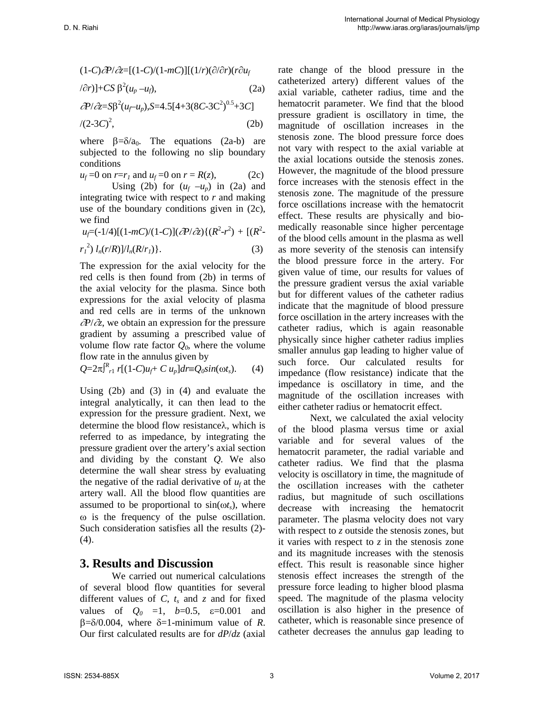$$
(1-C)\partial P/\partial z = [(1-C)/(1-mC)][(1/r)(\partial/\partial r)(r\partial u_f
$$
  
\n
$$
(\partial r)] + CS \beta^2 (u_p - u_f),
$$
\n(2a)  
\n
$$
\partial P/\partial z = SD^2 (u_f - u_p), S = 4.5[4+3(8C-3C^2)^{0.5}+3C]
$$
  
\n(2b)

where  $\beta = \delta/a_0$ . The equations (2a-b) are subjected to the following no slip boundary conditions

$$
u_f = 0
$$
 on  $r = r_1$  and  $u_f = 0$  on  $r = R(z)$ , (2c)

Using (2b) for  $(u_f -u_p)$  in (2a) and integrating twice with respect to *r* and making use of the boundary conditions given in (2c), we find

$$
u_f = (-1/4)[(1-mC)/(1-C)](\partial P/\partial z)\{(R^2-r^2) + [(R^2-r^2)l_n(r/R)]/l_n(R/r_I)\}.
$$
\n(3)

The expression for the axial velocity for the red cells is then found from (2b) in terms of the axial velocity for the plasma. Since both expressions for the axial velocity of plasma and red cells are in terms of the unknown ∂*P*/∂*z*, we obtain an expression for the pressure gradient by assuming a prescribed value of volume flow rate factor  $Q_0$ , where the volume flow rate in the annulus given by

 $Q = 2\pi \int_{r_1}^{R} r [(1-C)u_f + C u_p] dr \equiv Q_0 \sin(\omega t_s).$  (4)

Using (2b) and (3) in (4) and evaluate the integral analytically, it can then lead to the expression for the pressure gradient. Next, we determine the blood flow resistanceλ, which is referred to as impedance, by integrating the pressure gradient over the artery's axial section and dividing by the constant *Q*. We also determine the wall shear stress by evaluating the negative of the radial derivative of  $u_f$  at the artery wall. All the blood flow quantities are assumed to be proportional to  $sin(\omega t_s)$ , where ω is the frequency of the pulse oscillation. Such consideration satisfies all the results (2)- (4).

#### **3. Results and Discussion**

We carried out numerical calculations of several blood flow quantities for several different values of  $C$ ,  $t_s$  and  $z$  and for fixed values of  $Q_0 = 1$ ,  $b=0.5$ ,  $\varepsilon=0.001$  and  $\beta = \delta/0.004$ , where  $\delta = 1$ -minimum value of *R*. Our first calculated results are for *dP*/*dz* (axial rate change of the blood pressure in the catheterized artery) different values of the axial variable, catheter radius, time and the hematocrit parameter. We find that the blood pressure gradient is oscillatory in time, the magnitude of oscillation increases in the stenosis zone. The blood pressure force does not vary with respect to the axial variable at the axial locations outside the stenosis zones. However, the magnitude of the blood pressure force increases with the stenosis effect in the stenosis zone. The magnitude of the pressure force oscillations increase with the hematocrit effect. These results are physically and biomedically reasonable since higher percentage of the blood cells amount in the plasma as well as more severity of the stenosis can intensify the blood pressure force in the artery. For given value of time, our results for values of the pressure gradient versus the axial variable but for different values of the catheter radius indicate that the magnitude of blood pressure force oscillation in the artery increases with the catheter radius, which is again reasonable physically since higher catheter radius implies smaller annulus gap leading to higher value of such force. Our calculated results for impedance (flow resistance) indicate that the impedance is oscillatory in time, and the magnitude of the oscillation increases with either catheter radius or hematocrit effect.

Next, we calculated the axial velocity of the blood plasma versus time or axial variable and for several values of the hematocrit parameter, the radial variable and catheter radius. We find that the plasma velocity is oscillatory in time, the magnitude of the oscillation increases with the catheter radius, but magnitude of such oscillations decrease with increasing the hematocrit parameter. The plasma velocity does not vary with respect to *z* outside the stenosis zones, but it varies with respect to *z* in the stenosis zone and its magnitude increases with the stenosis effect. This result is reasonable since higher stenosis effect increases the strength of the pressure force leading to higher blood plasma speed. The magnitude of the plasma velocity oscillation is also higher in the presence of catheter, which is reasonable since presence of catheter decreases the annulus gap leading to